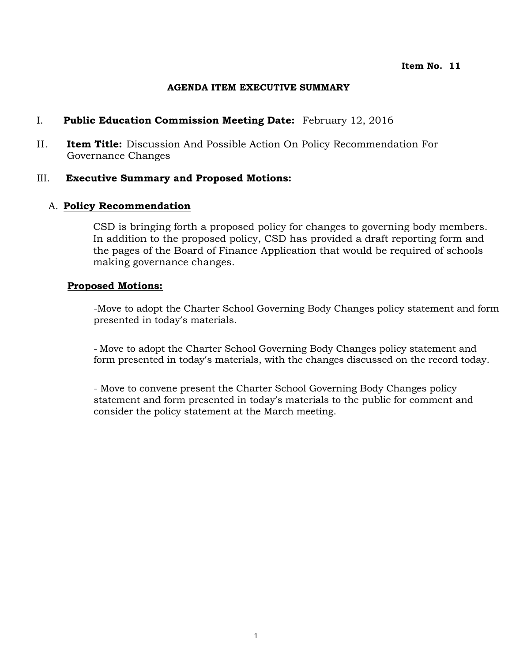## **AGENDA ITEM EXECUTIVE SUMMARY**

## I. **Public Education Commission Meeting Date:** February 12, 2016

II. **Item Title:** Discussion And Possible Action On Policy Recommendation For Governance Changes

### III. **Executive Summary and Proposed Motions:**

## A. **Policy Recommendation**

CSD is bringing forth a proposed policy for changes to governing body members. In addition to the proposed policy, CSD has provided a draft reporting form and the pages of the Board of Finance Application that would be required of schools making governance changes.

### **Proposed Motions:**

-Move to adopt the Charter School Governing Body Changes policy statement and form presented in today's materials.

- Move to adopt the Charter School Governing Body Changes policy statement and form presented in today's materials, with the changes discussed on the record today.

- Move to convene present the Charter School Governing Body Changes policy statement and form presented in today's materials to the public for comment and consider the policy statement at the March meeting.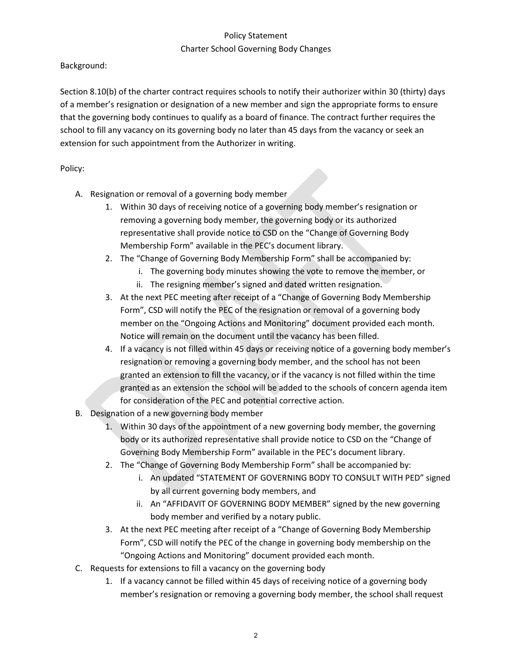# Policy Statement Charter School Governing Body Changes

Background:

Section 8.10(b) of the charter contract requires schools to notify their authorizer within 30 (thirty) days of a member's resignation or designation of a new member and sign the appropriate forms to ensure that the governing body continues to qualify as a board of finance. The contract further requires the school to fill any vacancy on its governing body no later than 45 days from the vacancy or seek an extension for such appointment from the Authorizer in writing.

# Policy:

- A. Resignation or removal of a governing body member
	- 1. Within 30 days of receiving notice of a governing body member's resignation or removing a governing body member, the governing body or its authorized representative shall provide notice to CSD on the "Change of Governing Body Membership Form" available in the PEC's document library.
	- 2. The "Change of Governing Body Membership Form" shall be accompanied by:
		- i. The governing body minutes showing the vote to remove the member, or
		- ii. The resigning member's signed and dated written resignation.
	- 3. At the next PEC meeting after receipt of a "Change of Governing Body Membership Form", CSD will notify the PEC of the resignation or removal of a governing body member on the "Ongoing Actions and Monitoring" document provided each month. Notice will remain on the document until the vacancy has been filled.
	- 4. If a vacancy is not filled within 45 days or receiving notice of a governing body member's resignation or removing a governing body member, and the school has not been granted an extension to fill the vacancy, or if the vacancy is not filled within the time granted as an extension the school will be added to the schools of concern agenda item for consideration of the PEC and potential corrective action.
- B. Designation of a new governing body member
	- 1. Within 30 days of the appointment of a new governing body member, the governing body or its authorized representative shall provide notice to CSD on the "Change of Governing Body Membership Form" available in the PEC's document library.
	- 2. The "Change of Governing Body Membership Form" shall be accompanied by:
		- i. An updated "STATEMENT OF GOVERNING BODY TO CONSULT WITH PED" signed by all current governing body members, and
		- ii. An "AFFIDAVIT OF GOVERNING BODY MEMBER" signed by the new governing body member and verified by a notary public.
	- 3. At the next PEC meeting after receipt of a "Change of Governing Body Membership Form", CSD will notify the PEC of the change in governing body membership on the "Ongoing Actions and Monitoring" document provided each month.
- C. Requests for extensions to fill a vacancy on the governing body
	- 1. If a vacancy cannot be filled within 45 days of receiving notice of a governing body member's resignation or removing a governing body member, the school shall request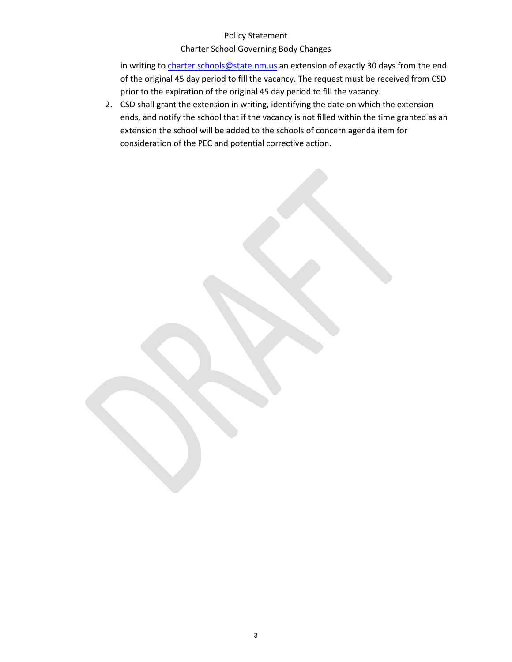#### Policy Statement

### Charter School Governing Body Changes

in writing t[o charter.schools@state.nm.us](mailto:charter.schools@state.nm.us) an extension of exactly 30 days from the end of the original 45 day period to fill the vacancy. The request must be received from CSD prior to the expiration of the original 45 day period to fill the vacancy.

2. CSD shall grant the extension in writing, identifying the date on which the extension ends, and notify the school that if the vacancy is not filled within the time granted as an extension the school will be added to the schools of concern agenda item for consideration of the PEC and potential corrective action.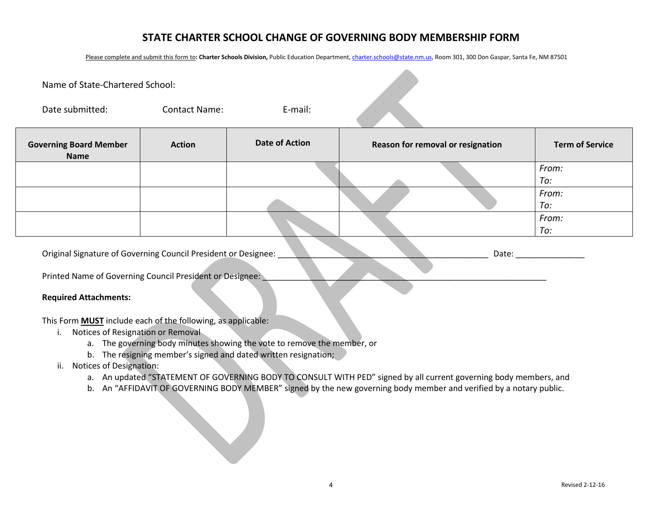# **STATE CHARTER SCHOOL CHANGE OF GOVERNING BODY MEMBERSHIP FORM**

Please complete and submit this form to: Charter Schools Division, Public Education Department[, charter.schools@state.nm.us,](mailto:charter.schools@state.nm.us) Room 301, 300 Don Gaspar, Santa Fe, NM 87501

| Name of State-Chartered School:                                     |                      |                       |                                   |                        |
|---------------------------------------------------------------------|----------------------|-----------------------|-----------------------------------|------------------------|
| Date submitted:                                                     | <b>Contact Name:</b> | E-mail:               |                                   |                        |
| <b>Governing Board Member</b><br><b>Name</b>                        | <b>Action</b>        | <b>Date of Action</b> | Reason for removal or resignation | <b>Term of Service</b> |
|                                                                     |                      |                       |                                   | From:                  |
|                                                                     |                      |                       |                                   | To:                    |
|                                                                     |                      |                       |                                   | From:                  |
|                                                                     |                      |                       |                                   | To:                    |
|                                                                     |                      |                       |                                   | From:                  |
|                                                                     |                      |                       |                                   | To:                    |
| Original Signature of Governing Council President or Designee:      |                      |                       | Date:                             |                        |
| Printed Name of Governing Council President or Designee:            |                      |                       |                                   |                        |
| <b>Required Attachments:</b>                                        |                      |                       |                                   |                        |
| This Form <b>MUST</b> include each of the following, as applicable: |                      |                       |                                   |                        |

- i. Notices of Resignation or Removal
	- a. The governing body minutes showing the vote to remove the member, or
	- b. The resigning member's signed and dated written resignation;
- ii. Notices of Designation:
	- a. An updated "STATEMENT OF GOVERNING BODY TO CONSULT WITH PED" signed by all current governing body members, and
	- b. An "AFFIDAVIT OF GOVERNING BODY MEMBER" signed by the new governing body member and verified by a notary public.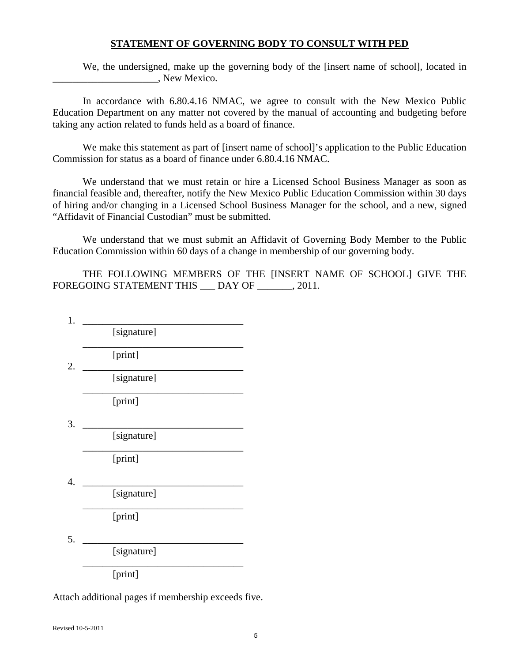## **STATEMENT OF GOVERNING BODY TO CONSULT WITH PED**

We, the undersigned, make up the governing body of the [insert name of school], located in \_\_\_\_\_\_\_\_\_\_\_\_\_\_\_\_\_\_\_\_\_, New Mexico.

In accordance with 6.80.4.16 NMAC, we agree to consult with the New Mexico Public Education Department on any matter not covered by the manual of accounting and budgeting before taking any action related to funds held as a board of finance.

We make this statement as part of [insert name of school]'s application to the Public Education Commission for status as a board of finance under 6.80.4.16 NMAC.

We understand that we must retain or hire a Licensed School Business Manager as soon as financial feasible and, thereafter, notify the New Mexico Public Education Commission within 30 days of hiring and/or changing in a Licensed School Business Manager for the school, and a new, signed "Affidavit of Financial Custodian" must be submitted.

We understand that we must submit an Affidavit of Governing Body Member to the Public Education Commission within 60 days of a change in membership of our governing body.

THE FOLLOWING MEMBERS OF THE [INSERT NAME OF SCHOOL] GIVE THE FOREGOING STATEMENT THIS \_\_\_ DAY OF \_\_\_\_\_\_, 2011.

1. \_\_\_\_\_\_\_\_\_\_\_\_\_\_\_\_\_\_\_\_\_\_\_\_\_\_\_\_\_\_\_\_ [signature] \_\_\_\_\_\_\_\_\_\_\_\_\_\_\_\_\_\_\_\_\_\_\_\_\_\_\_\_\_\_\_\_ [print] 2. \_\_\_\_\_\_\_\_\_\_\_\_\_\_\_\_\_\_\_\_\_\_\_\_\_\_\_\_\_\_\_\_ [signature] \_\_\_\_\_\_\_\_\_\_\_\_\_\_\_\_\_\_\_\_\_\_\_\_\_\_\_\_\_\_\_\_ [print] 3. \_\_\_\_\_\_\_\_\_\_\_\_\_\_\_\_\_\_\_\_\_\_\_\_\_\_\_\_\_\_\_\_ [signature] \_\_\_\_\_\_\_\_\_\_\_\_\_\_\_\_\_\_\_\_\_\_\_\_\_\_\_\_\_\_\_\_ [print] 4. \_\_\_\_\_\_\_\_\_\_\_\_\_\_\_\_\_\_\_\_\_\_\_\_\_\_\_\_\_\_\_\_ [signature] \_\_\_\_\_\_\_\_\_\_\_\_\_\_\_\_\_\_\_\_\_\_\_\_\_\_\_\_\_\_\_\_ [print]  $5.$   $\qquad \qquad$ [signature] \_\_\_\_\_\_\_\_\_\_\_\_\_\_\_\_\_\_\_\_\_\_\_\_\_\_\_\_\_\_\_\_ [print]

Attach additional pages if membership exceeds five.